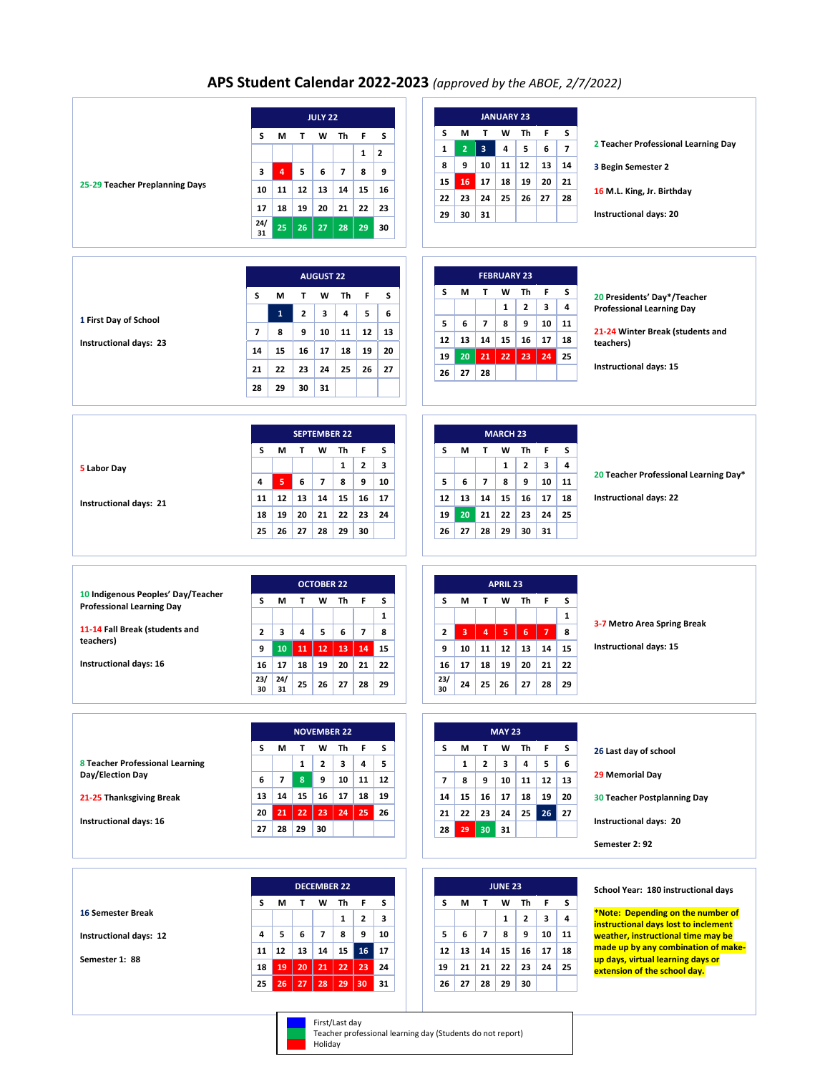## **APS Student Calendar 2022-2023** *(approved by the ABOE, 2/7/2022)*

|                                                     |           |                                |              |                          |                          |                   |                   | <b>JANUARY 23</b>                                                                                                           |                                                                            |
|-----------------------------------------------------|-----------|--------------------------------|--------------|--------------------------|--------------------------|-------------------|-------------------|-----------------------------------------------------------------------------------------------------------------------------|----------------------------------------------------------------------------|
|                                                     |           | м                              | T            | <b>JULY 22</b><br>W      | Th                       | F                 | s                 | М<br>F<br>s<br>s<br>Т<br>w<br>Τh                                                                                            |                                                                            |
|                                                     | s         |                                |              |                          |                          |                   | $\overline{2}$    | $\overline{\phantom{a}}$<br>$\overline{2}$<br>$\overline{\mathbf{3}}$<br>5<br>6<br>1<br>4                                   | 2 Teacher Professional Learning Day                                        |
|                                                     |           |                                |              |                          |                          | $\mathbf{1}$      | 9                 | 9<br>10<br>12<br>8<br>11<br>13<br>14                                                                                        | 3 Begin Semester 2                                                         |
| 25-29 Teacher Preplanning Days                      | 3         | $\overline{a}$                 | 5            | 6                        | $\overline{\phantom{a}}$ | 8                 |                   | 16<br>17<br>18<br>19<br>20<br>15<br>21                                                                                      |                                                                            |
|                                                     | 10        | 11                             | 12           | 13                       | 14                       | 15                | 16                | 23<br>24<br>25<br>26<br>27<br>28<br>22                                                                                      | 16 M.L. King, Jr. Birthday                                                 |
|                                                     | 17<br>24/ | 18                             | 19           | 20                       | 21                       | 22                | 23                | 29<br>30<br>31                                                                                                              | <b>Instructional days: 20</b>                                              |
|                                                     | 31        | 25                             | 26           | 27                       | 28                       | 29                | 30                |                                                                                                                             |                                                                            |
|                                                     |           |                                |              |                          |                          |                   |                   |                                                                                                                             |                                                                            |
|                                                     |           |                                |              | <b>AUGUST 22</b>         |                          |                   |                   | <b>FEBRUARY 23</b>                                                                                                          |                                                                            |
|                                                     | s         | М                              | т            | W                        | Th                       | F                 | s                 | F<br>s<br>м<br>T.<br>S<br>w<br>Τh                                                                                           | 20 Presidents' Day*/Teacher                                                |
| 1 First Day of School                               |           | $\mathbf{1}$                   | $\mathbf{2}$ | 3                        | 4                        | 5                 | 6                 | $\mathbf{z}$<br>3<br>$\mathbf{1}$<br>4                                                                                      | <b>Professional Learning Day</b>                                           |
|                                                     | 7         | 8                              | 9            | 10                       | 11                       | 12                | 13                | 6<br>$\overline{\phantom{a}}$<br>8<br>9<br>10<br>5<br>11                                                                    | 21-24 Winter Break (students and                                           |
| Instructional days: 23                              | 14        | 15                             | 16           | 17                       | 18                       | 19                | 20                | 15<br>16<br>17<br>18<br>12<br>13<br>14                                                                                      | teachers)                                                                  |
|                                                     | 21        | 22                             | 23           | 24                       | 25                       | 26                | 27                | 21<br>22<br>23<br>24<br>20<br>19<br>25<br>27<br>28<br>26                                                                    | <b>Instructional days: 15</b>                                              |
|                                                     | 28        | 29                             | 30           | 31                       |                          |                   |                   |                                                                                                                             |                                                                            |
|                                                     |           |                                |              |                          |                          |                   |                   |                                                                                                                             |                                                                            |
|                                                     |           |                                |              |                          |                          |                   |                   |                                                                                                                             |                                                                            |
|                                                     |           |                                |              |                          | <b>SEPTEMBER 22</b>      |                   |                   | <b>MARCH 23</b>                                                                                                             |                                                                            |
|                                                     | s         | М                              | Т            | W                        | Th<br>$\mathbf{1}$       | F<br>$\mathbf{2}$ | s<br>3            | Τ<br>F<br>s<br>s<br>М<br>w<br>Τh<br>$\mathbf{z}$<br>3<br>$\mathbf{1}$<br>4                                                  |                                                                            |
| 5 Labor Day                                         | 4         | 5                              | 6            | 7                        | 8                        | 9                 | 10                | 5<br>$\overline{\phantom{a}}$<br>9<br>10<br>11<br>6<br>8                                                                    | 20 Teacher Professional Learning Day*                                      |
|                                                     | 11        | 12                             | 13           | 14                       | 15                       | 16                | 17                | 15<br>16<br>17<br>18<br>12<br>13<br>14                                                                                      | Instructional days: 22                                                     |
| Instructional days: 21                              | 18        | 19                             | 20           | 21                       | 22                       | 23                | 24                | 20<br>21<br>22<br>24<br>19<br>23<br>25                                                                                      |                                                                            |
|                                                     | 25        | 26                             | 27           | 28                       | 29                       | 30                |                   | 27<br>29<br>30<br>26<br>28<br>31                                                                                            |                                                                            |
|                                                     |           |                                |              |                          |                          |                   |                   |                                                                                                                             |                                                                            |
|                                                     |           |                                |              |                          |                          |                   |                   |                                                                                                                             |                                                                            |
| 10 Indigenous Peoples' Day/Teacher                  |           |                                |              | <b>OCTOBER 22</b>        |                          |                   |                   | <b>APRIL 23</b>                                                                                                             |                                                                            |
| <b>Professional Learning Day</b>                    | s         | М                              | т            | w                        | Th                       | F                 | s                 | s<br>M<br>т<br>Th<br>F<br>s<br>w                                                                                            |                                                                            |
| 11-14 Fall Break (students and                      | 2         | 3                              | 4            | 5                        | 6                        | $\overline{7}$    | $\mathbf{1}$<br>8 | $\mathbf{1}$<br>$\overline{7}$<br>$\overline{\mathbf{3}}$<br>$\overline{a}$<br>5<br>$\boldsymbol{6}$<br>8<br>$\overline{2}$ | 3-7 Metro Area Spring Break                                                |
| teachers)                                           | 9         | 10                             | 11           | 12                       | 13                       | 14                | 15                | 10<br>15<br>9<br>11<br>12<br>13<br>14                                                                                       | Instructional days: 15                                                     |
| <b>Instructional days: 16</b>                       | 16        | 17                             | 18           | 19                       | 20                       | 21                | 22                | 17<br>18<br>19<br>20<br>21<br>16<br>22                                                                                      |                                                                            |
|                                                     | 23/       | 24/                            | 25           | 26                       | 27                       | 28                | 29                | 23/<br>24<br>27<br>25<br>26<br>28<br>29                                                                                     |                                                                            |
|                                                     | 30        | 31                             |              |                          |                          |                   |                   | 30                                                                                                                          |                                                                            |
|                                                     |           |                                |              |                          |                          |                   |                   |                                                                                                                             |                                                                            |
|                                                     |           |                                |              |                          | <b>NOVEMBER 22</b>       |                   |                   | <b>MAY 23</b>                                                                                                               |                                                                            |
|                                                     | s         | М                              | т            | w                        | Τh                       | F                 | s                 | F<br>s<br>M<br>т<br>Τh<br>s<br>W                                                                                            | 26 Last day of school                                                      |
| 8 Teacher Professional Learning<br>Day/Election Day |           |                                | $\mathbf{1}$ | $\overline{2}$           | 3                        | 4                 | 5                 | 4<br>6<br>$\mathbf{1}$<br>$\mathbf{2}$<br>3<br>5                                                                            | 29 Memorial Day                                                            |
|                                                     | 6         | $\overline{\phantom{a}}$<br>14 | 8<br>15      | 9<br>16                  | 10<br>17                 | 11<br>18          | 12<br>19          | 13<br>$\overline{\phantom{a}}$<br>8<br>9<br>10<br>11<br>12                                                                  |                                                                            |
| 21-25 Thanksgiving Break                            | 13<br>20  | 21                             | 22           | 23                       | 24                       | 25                | 26                | 15<br>16<br>17<br>18<br>19<br>20<br>14<br>25<br>26<br>22<br>23<br>24<br>27<br>21                                            | <b>30 Teacher Postplanning Day</b>                                         |
| Instructional days: 16                              | 27        | 28                             | 29           | 30                       |                          |                   |                   | 29<br>30 <sup>1</sup><br>31<br>28                                                                                           | Instructional days: 20                                                     |
|                                                     |           |                                |              |                          |                          |                   |                   |                                                                                                                             | Semester 2: 92                                                             |
|                                                     |           |                                |              |                          |                          |                   |                   |                                                                                                                             |                                                                            |
|                                                     |           |                                |              | <b>DECEMBER 22</b>       |                          |                   |                   | <b>JUNE 23</b>                                                                                                              |                                                                            |
|                                                     | s         | м                              | T            | w                        | Th                       | F                 | s                 | T.<br>F.<br>S<br>s<br>м<br>w<br>Th                                                                                          | School Year: 180 instructional days                                        |
| <b>16 Semester Break</b>                            |           |                                |              |                          | $\mathbf{1}$             | $\overline{2}$    | 3                 | $\mathbf{1}$<br>$\mathbf{2}$<br>3<br>4                                                                                      | *Note: Depending on the number of                                          |
| Instructional days: 12                              | 4         | 5                              | 6            | $\overline{\phantom{a}}$ | 8                        | 9                 | 10                | $\overline{7}$<br>8<br>9<br>10<br>11<br>5<br>6                                                                              | instructional days lost to inclement<br>weather, instructional time may be |
|                                                     | 11        | 12                             | 13           | 14                       |                          | $15$ 16           | 17                | 15<br>16<br>17<br>18<br>12<br>13<br>14                                                                                      | made up by any combination of make-                                        |
| Semester 1: 88                                      | 18        | 19                             | 20           | 21                       | 22                       | 23                | 24                | 21<br>22<br>23<br>24<br>25<br>19<br>21                                                                                      | up days, virtual learning days or<br>extension of the school day.          |
|                                                     | 25        | 26                             | 27           | 28                       | 29                       | 30                | 31                | 27<br>28<br>29<br>30<br>26                                                                                                  |                                                                            |
|                                                     |           |                                |              |                          |                          |                   |                   |                                                                                                                             |                                                                            |
|                                                     |           |                                |              |                          |                          |                   |                   |                                                                                                                             |                                                                            |



First/Last day Teacher professional learning day (Students do not report)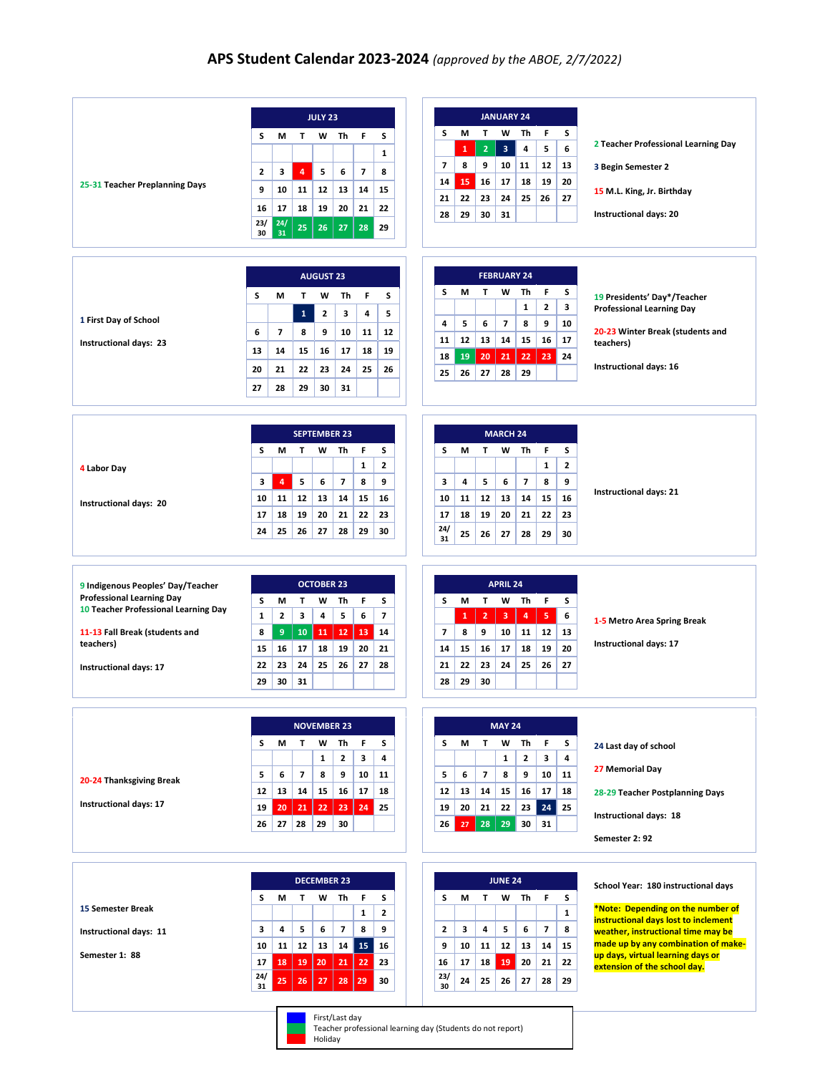## **APS Student Calendar 2023-2024** *(approved by the ABOE, 2/7/2022)*

|                                      |              |                          |                          | <b>JULY 23</b>      |                          |                |                          |
|--------------------------------------|--------------|--------------------------|--------------------------|---------------------|--------------------------|----------------|--------------------------|
|                                      | s            | м                        | T                        | w                   | Th                       | F              | s                        |
|                                      |              |                          |                          |                     |                          |                | $\mathbf{1}$             |
|                                      | $\mathbf{2}$ | 3                        | $\overline{4}$           | 5                   | 6                        | $\overline{7}$ | 8                        |
| 25-31 Teacher Preplanning Days       | 9            | 10                       | 11                       | 12                  | 13                       | 14             | 15                       |
|                                      | 16           | 17                       | 18                       | 19                  | 20                       | 21             | 22                       |
|                                      | 23/<br>30    | 24/<br>31                | 25                       | 26                  | 27                       | 28             | 29                       |
|                                      |              |                          |                          |                     |                          |                |                          |
|                                      |              |                          |                          |                     |                          |                |                          |
|                                      |              |                          |                          | <b>AUGUST 23</b>    |                          |                |                          |
|                                      | S            | М                        | T.                       | W                   | Τh                       | F.             | S                        |
| 1 First Day of School                |              |                          | $\mathbf 1$              | $\mathbf{2}$        | 3                        | 4              | 5                        |
|                                      | 6            | $\overline{\phantom{a}}$ | 8                        | 9                   | 10                       | 11             | 12                       |
| Instructional days: 23               | 13           | 14                       | 15                       | 16                  | 17                       | 18             | 19                       |
|                                      | 20           | 21                       | 22                       | 23                  | 24                       | 25             | 26                       |
|                                      | 27           | 28                       | 29                       | 30                  | 31                       |                |                          |
|                                      |              |                          |                          |                     |                          |                |                          |
|                                      |              |                          |                          |                     |                          |                |                          |
|                                      |              |                          |                          | <b>SEPTEMBER 23</b> |                          |                |                          |
|                                      | s            | М                        | т                        | W                   | Th                       | F              | s                        |
| 4 Labor Day                          |              |                          |                          |                     |                          | $\mathbf{1}$   | $\mathbf{z}$             |
|                                      | 3            | $\overline{\mathbf{4}}$  | 5                        | 6                   | $\overline{\phantom{a}}$ | 8              | 9                        |
| Instructional days: 20               | 10           | 11                       | 12                       | 13                  | 14                       | 15             | 16                       |
|                                      | 17           | 18                       | 19                       | 20                  | 21                       | 22             | 23                       |
|                                      | 24           | 25                       | 26                       | 27                  | 28                       | 29             | 30                       |
|                                      |              |                          |                          |                     |                          |                |                          |
|                                      |              |                          |                          |                     |                          |                |                          |
|                                      |              |                          |                          |                     |                          |                |                          |
| 9 Indigenous Peoples' Day/Teacher    |              |                          |                          | <b>OCTOBER 23</b>   |                          |                |                          |
| <b>Professional Learning Day</b>     | s            | М                        | т                        | w                   | Th                       | F              | s                        |
| 10 Teacher Professional Learning Day | $\mathbf{1}$ | $\mathbf{2}$             | 3                        | 4                   | 5                        | 6              | $\overline{\phantom{a}}$ |
| 11-13 Fall Break (students and       | 8            | 9 <sup>°</sup>           | 10                       | 11                  | 12                       | 13             | 14                       |
| teachers)                            | 15           | 16                       | 17                       | 18                  | 19                       | 20             | 21                       |
| Instructional days: 17               | 22           | 23                       | 24                       | 25                  | 26                       | 27             | 28                       |
|                                      | 29           | 30                       | 31                       |                     |                          |                |                          |
|                                      |              |                          |                          |                     |                          |                |                          |
|                                      |              |                          |                          |                     |                          |                |                          |
|                                      |              |                          |                          | <b>NOVEMBER 23</b>  |                          |                |                          |
|                                      | s            | М                        | T.                       | w                   | Th                       | F              | s                        |
|                                      |              |                          |                          | $\mathbf{1}$        | $\mathbf{z}$             | з              | 4                        |
| 20-24 Thanksgiving Break             | 5            | 6                        | $\overline{\phantom{a}}$ | 8                   | 9                        | 10             | 11                       |
|                                      | 12           | 13                       | 14                       | 15                  | 16                       | 17             | 18                       |
| Instructional days: 17               | 19           | 20                       | 21                       | 22                  | 23                       | 24             | 25                       |
|                                      | 26           | 27                       | 28                       | 29                  | 30                       |                |                          |
|                                      |              |                          |                          |                     |                          |                |                          |
|                                      |              |                          |                          |                     |                          |                |                          |
|                                      |              |                          |                          | <b>DECEMBER 23</b>  |                          |                |                          |
|                                      | s            | м                        | T.                       | w                   | Th                       | F              | S                        |
| <b>15 Semester Break</b>             |              |                          |                          |                     |                          | $\mathbf{1}$   | $\overline{2}$           |
|                                      |              |                          |                          |                     |                          |                | 9                        |
| Instructional days: 11               | 3            | 4                        | 5                        | 6                   | $\overline{\phantom{a}}$ | 8              |                          |
| Semester 1: 88                       | 10           | 11                       | 12                       | 13                  | 14                       | 15             | 16                       |
|                                      | 17<br>24/    | 18<br>25                 | 19<br>26                 | 20<br>27            | 21<br>28                 | 22<br>29       | 23<br>30                 |

Holiday